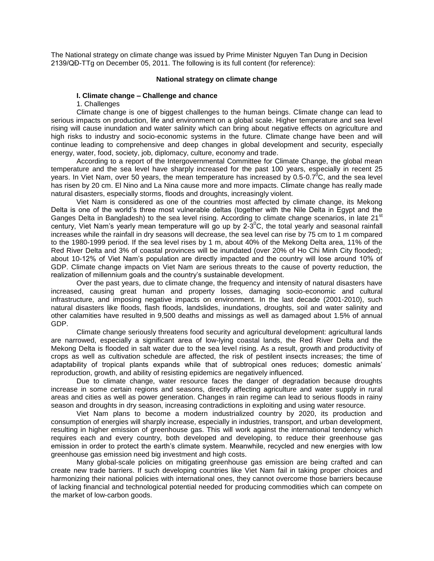The National strategy on climate change was issued by Prime Minister Nguyen Tan Dung in Decision 2139/QĐ-TTg on December 05, 2011. The following is its full content (for reference):

#### **National strategy on climate change**

#### **I. Climate change – Challenge and chance**

1. Challenges

Climate change is one of biggest challenges to the human beings. Climate change can lead to serious impacts on production, life and environment on a global scale. Higher temperature and sea level rising will cause inundation and water salinity which can bring about negative effects on agriculture and high risks to industry and socio-economic systems in the future. Climate change have been and will continue leading to comprehensive and deep changes in global development and security, especially energy, water, food, society, job, diplomacy, culture, economy and trade.

According to a report of the Intergovernmental Committee for Climate Change, the global mean temperature and the sea level have sharply increased for the past 100 years, especially in recent 25 years. In Viet Nam, over 50 years, the mean temperature has increased by 0.5-0.7<sup>0</sup>C, and the sea level has risen by 20 cm. El Nino and La Nina cause more and more impacts. Climate change has really made natural disasters, especially storms, floods and droughts, increasingly violent.

Viet Nam is considered as one of the countries most affected by climate change, its Mekong Delta is one of the world's three most vulnerable deltas (together with the Nile Delta in Egypt and the Ganges Delta in Bangladesh) to the sea level rising. According to climate change scenarios, in late 21<sup>st</sup> century, Viet Nam's yearly mean temperature will go up by 2-3 $^{\circ}$ C, the total yearly and seasonal rainfall increases while the rainfall in dry seasons will decrease, the sea level can rise by 75 cm to 1 m compared to the 1980-1999 period. If the sea level rises by 1 m, about 40% of the Mekong Delta area, 11% of the Red River Delta and 3% of coastal provinces will be inundated (over 20% of Ho Chi Minh City flooded); about 10-12% of Viet Nam's population are directly impacted and the country will lose around 10% of GDP. Climate change impacts on Viet Nam are serious threats to the cause of poverty reduction, the realization of millennium goals and the country's sustainable development.

Over the past years, due to climate change, the frequency and intensity of natural disasters have increased, causing great human and property losses, damaging socio-economic and cultural infrastructure, and imposing negative impacts on environment. In the last decade (2001-2010), such natural disasters like floods, flash floods, landslides, inundations, droughts, soil and water salinity and other calamities have resulted in 9,500 deaths and missings as well as damaged about 1.5% of annual GDP.

Climate change seriously threatens food security and agricultural development: agricultural lands are narrowed, especially a significant area of low-lying coastal lands, the Red River Delta and the Mekong Delta is flooded in salt water due to the sea level rising. As a result, growth and productivity of crops as well as cultivation schedule are affected, the risk of pestilent insects increases; the time of adaptability of tropical plants expands while that of subtropical ones reduces; domestic animals' reproduction, growth, and ability of resisting epidemics are negatively influenced.

Due to climate change, water resource faces the danger of degradation because droughts increase in some certain regions and seasons, directly affecting agriculture and water supply in rural areas and cities as well as power generation. Changes in rain regime can lead to serious floods in rainy season and droughts in dry season, increasing contradictions in exploiting and using water resource.

Viet Nam plans to become a modern industrialized country by 2020, its production and consumption of energies will sharply increase, especially in industries, transport, and urban development, resulting in higher emission of greenhouse gas. This will work against the international tendency which requires each and every country, both developed and developing, to reduce their greenhouse gas emission in order to protect the earth's climate system. Meanwhile, recycled and new energies with low greenhouse gas emission need big investment and high costs.

Many global-scale policies on mitigating greenhouse gas emission are being crafted and can create new trade barriers. If such developing countries like Viet Nam fail in taking proper choices and harmonizing their national policies with international ones, they cannot overcome those barriers because of lacking financial and technological potential needed for producing commodities which can compete on the market of low-carbon goods.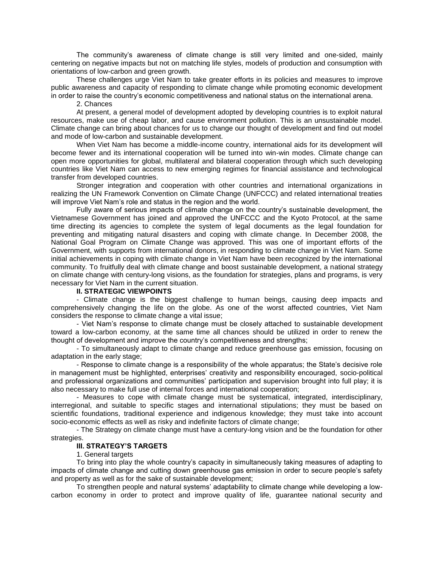The community's awareness of climate change is still very limited and one-sided, mainly centering on negative impacts but not on matching life styles, models of production and consumption with orientations of low-carbon and green growth.

These challenges urge Viet Nam to take greater efforts in its policies and measures to improve public awareness and capacity of responding to climate change while promoting economic development in order to raise the country's economic competitiveness and national status on the international arena.

2. Chances

At present, a general model of development adopted by developing countries is to exploit natural resources, make use of cheap labor, and cause environment pollution. This is an unsustainable model. Climate change can bring about chances for us to change our thought of development and find out model and mode of low-carbon and sustainable development.

When Viet Nam has become a middle-income country, international aids for its development will become fewer and its international cooperation will be turned into win-win modes. Climate change can open more opportunities for global, multilateral and bilateral cooperation through which such developing countries like Viet Nam can access to new emerging regimes for financial assistance and technological transfer from developed countries.

Stronger integration and cooperation with other countries and international organizations in realizing the UN Framework Convention on Climate Change (UNFCCC) and related international treaties will improve Viet Nam's role and status in the region and the world.

Fully aware of serious impacts of climate change on the country's sustainable development, the Vietnamese Government has joined and approved the UNFCCC and the Kyoto Protocol, at the same time directing its agencies to complete the system of legal documents as the legal foundation for preventing and mitigating natural disasters and coping with climate change. In December 2008, the National Goal Program on Climate Change was approved. This was one of important efforts of the Government, with supports from international donors, in responding to climate change in Viet Nam. Some initial achievements in coping with climate change in Viet Nam have been recognized by the international community. To fruitfully deal with climate change and boost sustainable development, a national strategy on climate change with century-long visions, as the foundation for strategies, plans and programs, is very necessary for Viet Nam in the current situation.

# **II. STRATEGIC VIEWPOINTS**

- Climate change is the biggest challenge to human beings, causing deep impacts and comprehensively changing the life on the globe. As one of the worst affected countries, Viet Nam considers the response to climate change a vital issue;

- Viet Nam's response to climate change must be closely attached to sustainable development toward a low-carbon economy, at the same time all chances should be utilized in order to renew the thought of development and improve the country's competitiveness and strengths;

- To simultaneously adapt to climate change and reduce greenhouse gas emission, focusing on adaptation in the early stage;

- Response to climate change is a responsibility of the whole apparatus; the State's decisive role in management must be highlighted, enterprises' creativity and responsibility encouraged, socio-political and professional organizations and communities' participation and supervision brought into full play; it is also necessary to make full use of internal forces and international cooperation;

- Measures to cope with climate change must be systematical, integrated, interdisciplinary, interregional, and suitable to specific stages and international stipulations; they must be based on scientific foundations, traditional experience and indigenous knowledge; they must take into account socio-economic effects as well as risky and indefinite factors of climate change;

- The Strategy on climate change must have a century-long vision and be the foundation for other strategies.

# **III. STRATEGY'S TARGETS**

1. General targets

To bring into play the whole country's capacity in simultaneously taking measures of adapting to impacts of climate change and cutting down greenhouse gas emission in order to secure people's safety and property as well as for the sake of sustainable development;

To strengthen people and natural systems' adaptability to climate change while developing a lowcarbon economy in order to protect and improve quality of life, guarantee national security and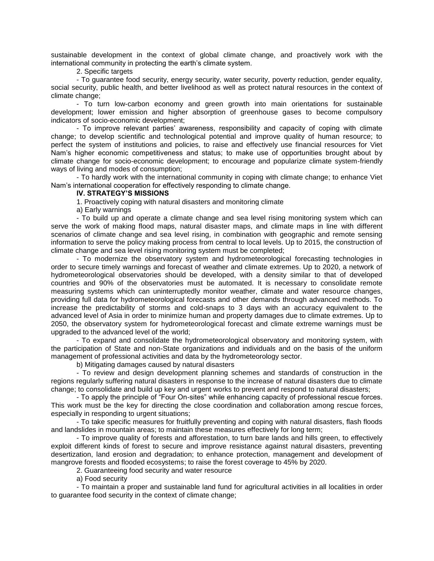sustainable development in the context of global climate change, and proactively work with the international community in protecting the earth's climate system.

2. Specific targets

- To guarantee food security, energy security, water security, poverty reduction, gender equality, social security, public health, and better livelihood as well as protect natural resources in the context of climate change;

- To turn low-carbon economy and green growth into main orientations for sustainable development; lower emission and higher absorption of greenhouse gases to become compulsory indicators of socio-economic development;

- To improve relevant parties' awareness, responsibility and capacity of coping with climate change; to develop scientific and technological potential and improve quality of human resource; to perfect the system of institutions and policies, to raise and effectively use financial resources for Viet Nam's higher economic competitiveness and status; to make use of opportunities brought about by climate change for socio-economic development; to encourage and popularize climate system-friendly ways of living and modes of consumption;

- To hardly work with the international community in coping with climate change; to enhance Viet Nam's international cooperation for effectively responding to climate change.

### **IV. STRATEGY'S MISSIONS**

1. Proactively coping with natural disasters and monitoring climate

a) Early warnings

- To build up and operate a climate change and sea level rising monitoring system which can serve the work of making flood maps, natural disaster maps, and climate maps in line with different scenarios of climate change and sea level rising, in combination with geographic and remote sensing information to serve the policy making process from central to local levels. Up to 2015, the construction of climate change and sea level rising monitoring system must be completed;

- To modernize the observatory system and hydrometeorological forecasting technologies in order to secure timely warnings and forecast of weather and climate extremes. Up to 2020, a network of hydrometeorological observatories should be developed, with a density similar to that of developed countries and 90% of the observatories must be automated. It is necessary to consolidate remote measuring systems which can uninterruptedly monitor weather, climate and water resource changes, providing full data for hydrometeorological forecasts and other demands through advanced methods. To increase the predictability of storms and cold-snaps to 3 days with an accuracy equivalent to the advanced level of Asia in order to minimize human and property damages due to climate extremes. Up to 2050, the observatory system for hydrometeorological forecast and climate extreme warnings must be upgraded to the advanced level of the world;

- To expand and consolidate the hydrometeorological observatory and monitoring system, with the participation of State and non-State organizations and individuals and on the basis of the uniform management of professional activities and data by the hydrometeorology sector.

b) Mitigating damages caused by natural disasters

- To review and design development planning schemes and standards of construction in the regions regularly suffering natural disasters in response to the increase of natural disasters due to climate change; to consolidate and build up key and urgent works to prevent and respond to natural disasters;

- To apply the principle of "Four On-sites" while enhancing capacity of professional rescue forces. This work must be the key for directing the close coordination and collaboration among rescue forces, especially in responding to urgent situations;

- To take specific measures for fruitfully preventing and coping with natural disasters, flash floods and landslides in mountain areas; to maintain these measures effectively for long term;

- To improve quality of forests and afforestation, to turn bare lands and hills green, to effectively exploit different kinds of forest to secure and improve resistance against natural disasters, preventing desertization, land erosion and degradation; to enhance protection, management and development of mangrove forests and flooded ecosystems; to raise the forest coverage to 45% by 2020.

2. Guaranteeing food security and water resource

a) Food security

- To maintain a proper and sustainable land fund for agricultural activities in all localities in order to guarantee food security in the context of climate change;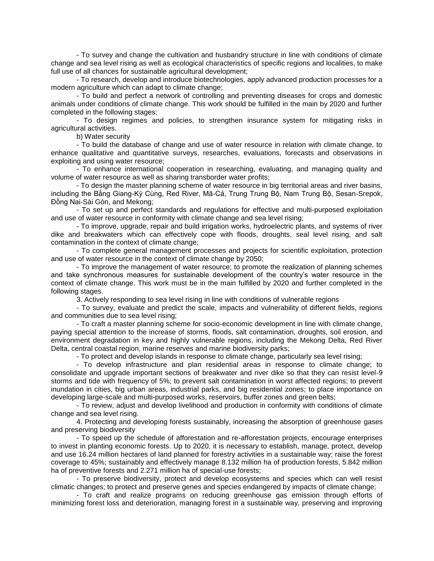- To survey and change the cultivation and husbandry structure in line with conditions of climate change and sea level rising as well as ecological characteristics of specific regions and localities, to make full use of all chances for sustainable agricultural development:

- To research, develop and introduce biotechnologies, apply advanced production processes for a modern agriculture which can adapt to climate change;

- To build and perfect a network of controlling and preventing diseases for crops and domestic animals under conditions of climate change. This work should be fulfilled in the main by 2020 and further completed in the following stages;

- To design regimes and policies, to strengthen insurance system for mitigating risks in agricultural activities.

b) Water security

- To build the database of change and use of water resource in relation with climate change, to enhance qualitative and quantitative surveys, researches, evaluations, forecasts and observations in exploiting and using water resource;

- To enhance international cooperation in researching, evaluating, and managing quality and volume of water resource as well as sharing transborder water profits;

- To design the master planning scheme of water resource in big territorial areas and river basins, including the Bằng Giang-Kỳ Cùng, Red River, Mã-Cả, Trung Trung Bộ, Nam Trung Bộ, Sesan-Srepok, Đồng Nai-Sài Gòn, and Mekong;

- To set up and perfect standards and regulations for effective and multi-purposed exploitation and use of water resource in conformity with climate change and sea level rising;

- To improve, upgrade, repair and build irrigation works, hydroelectric plants, and systems of river dike and breakwaters which can effectively cope with floods, droughts, seal level rising, and salt contamination in the context of climate change;

- To complete general management processes and projects for scientific exploitation, protection and use of water resource in the context of climate change by 2050;

- To improve the management of water resource; to promote the realization of planning schemes and take synchronous measures for sustainable development of the country's water resource in the context of climate change. This work must be in the main fulfilled by 2020 and further completed in the following stages.

3. Actively responding to sea level rising in line with conditions of vulnerable regions

- To survey, evaluate and predict the scale, impacts and vulnerability of different fields, regions and communities due to sea level rising;

- To craft a master planning scheme for socio-economic development in line with climate change, paying special attention to the increase of storms, floods, salt contamination, droughts, soil erosion, and environment degradation in key and highly vulnerable regions, including the Mekong Delta, Red River Delta, central coastal region, marine reserves and marine biodiversity parks;

- To protect and develop islands in response to climate change, particularly sea level rising;

- To develop infrastructure and plan residential areas in response to climate change; to consolidate and upgrade important sections of breakwater and river dike so that they can resist level-9 storms and tide with frequency of 5%; to prevent salt contamination in worst affected regions; to prevent inundation in cities, big urban areas, industrial parks, and big residential zones; to place importance on developing large-scale and multi-purposed works, reservoirs, buffer zones and green belts;

- To review, adjust and develop livelihood and production in conformity with conditions of climate change and sea level rising.

4. Protecting and developing forests sustainably, increasing the absorption of greenhouse gases and preserving biodiversity

- To speed up the schedule of afforestation and re-afforestation projects, encourage enterprises to invest in planting economic forests. Up to 2020, it is necessary to establish, manage, protect, develop and use 16.24 million hectares of land planned for forestry activities in a sustainable way; raise the forest coverage to 45%; sustainably and effectively manage 8.132 million ha of production forests, 5.842 million ha of preventive forests and 2.271 million ha of special-use forests;

- To preserve biodiversity, protect and develop ecosystems and species which can well resist climatic changes; to protect and preserve genes and species endangered by impacts of climate change;

- To craft and realize programs on reducing greenhouse gas emission through efforts of minimizing forest loss and deterioration, managing forest in a sustainable way, preserving and improving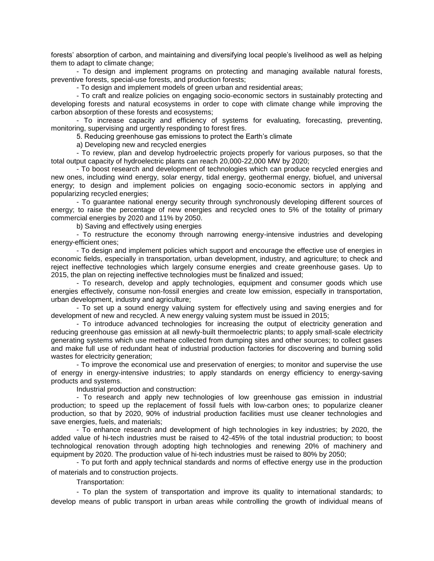forests' absorption of carbon, and maintaining and diversifying local people's livelihood as well as helping them to adapt to climate change;

- To design and implement programs on protecting and managing available natural forests, preventive forests, special-use forests, and production forests;

- To design and implement models of green urban and residential areas;

- To craft and realize policies on engaging socio-economic sectors in sustainably protecting and developing forests and natural ecosystems in order to cope with climate change while improving the carbon absorption of these forests and ecosystems;

- To increase capacity and efficiency of systems for evaluating, forecasting, preventing, monitoring, supervising and urgently responding to forest fires.

5. Reducing greenhouse gas emissions to protect the Earth's climate

a) Developing new and recycled energies

- To review, plan and develop hydroelectric projects properly for various purposes, so that the total output capacity of hydroelectric plants can reach 20,000-22,000 MW by 2020;

- To boost research and development of technologies which can produce recycled energies and new ones, including wind energy, solar energy, tidal energy, geothermal energy, biofuel, and universal energy; to design and implement policies on engaging socio-economic sectors in applying and popularizing recycled energies;

- To guarantee national energy security through synchronously developing different sources of energy; to raise the percentage of new energies and recycled ones to 5% of the totality of primary commercial energies by 2020 and 11% by 2050.

b) Saving and effectively using energies

- To restructure the economy through narrowing energy-intensive industries and developing energy-efficient ones;

- To design and implement policies which support and encourage the effective use of energies in economic fields, especially in transportation, urban development, industry, and agriculture; to check and reject ineffective technologies which largely consume energies and create greenhouse gases. Up to 2015, the plan on rejecting ineffective technologies must be finalized and issued;

- To research, develop and apply technologies, equipment and consumer goods which use energies effectively, consume non-fossil energies and create low emission, especially in transportation, urban development, industry and agriculture;

- To set up a sound energy valuing system for effectively using and saving energies and for development of new and recycled. A new energy valuing system must be issued in 2015;

- To introduce advanced technologies for increasing the output of electricity generation and reducing greenhouse gas emission at all newly-built thermoelectric plants; to apply small-scale electricity generating systems which use methane collected from dumping sites and other sources; to collect gases and make full use of redundant heat of industrial production factories for discovering and burning solid wastes for electricity generation;

- To improve the economical use and preservation of energies; to monitor and supervise the use of energy in energy-intensive industries; to apply standards on energy efficiency to energy-saving products and systems.

Industrial production and construction:

- To research and apply new technologies of low greenhouse gas emission in industrial production; to speed up the replacement of fossil fuels with low-carbon ones; to popularize cleaner production, so that by 2020, 90% of industrial production facilities must use cleaner technologies and save energies, fuels, and materials;

- To enhance research and development of high technologies in key industries; by 2020, the added value of hi-tech industries must be raised to 42-45% of the total industrial production; to boost technological renovation through adopting high technologies and renewing 20% of machinery and equipment by 2020. The production value of hi-tech industries must be raised to 80% by 2050;

- To put forth and apply technical standards and norms of effective energy use in the production of materials and to construction projects.

Transportation:

- To plan the system of transportation and improve its quality to international standards; to develop means of public transport in urban areas while controlling the growth of individual means of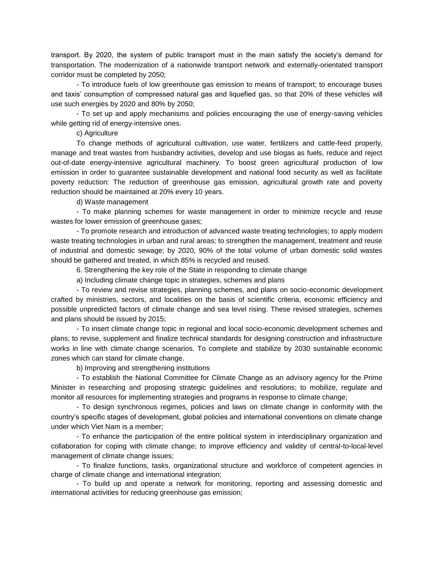transport. By 2020, the system of public transport must in the main satisfy the society's demand for transportation. The modernization of a nationwide transport network and externally-orientated transport corridor must be completed by 2050;

- To introduce fuels of low greenhouse gas emission to means of transport; to encourage buses and taxis' consumption of compressed natural gas and liquefied gas, so that 20% of these vehicles will use such energies by 2020 and 80% by 2050;

- To set up and apply mechanisms and policies encouraging the use of energy-saving vehicles while getting rid of energy-intensive ones.

c) Agriculture

To change methods of agricultural cultivation, use water, fertilizers and cattle-feed properly, manage and treat wastes from husbandry activities, develop and use biogas as fuels, reduce and reject out-of-date energy-intensive agricultural machinery. To boost green agricultural production of low emission in order to guarantee sustainable development and national food security as well as facilitate poverty reduction: The reduction of greenhouse gas emission, agricultural growth rate and poverty reduction should be maintained at 20% every 10 years.

d) Waste management

- To make planning schemes for waste management in order to minimize recycle and reuse wastes for lower emission of greenhouse gases;

- To promote research and introduction of advanced waste treating technologies; to apply modern waste treating technologies in urban and rural areas; to strengthen the management, treatment and reuse of industrial and domestic sewage; by 2020, 90% of the total volume of urban domestic solid wastes should be gathered and treated, in which 85% is recycled and reused.

6. Strengthening the key role of the State in responding to climate change

a) Including climate change topic in strategies, schemes and plans

- To review and revise strategies, planning schemes, and plans on socio-economic development crafted by ministries, sectors, and localities on the basis of scientific criteria, economic efficiency and possible unpredicted factors of climate change and sea level rising. These revised strategies, schemes and plans should be issued by 2015;

- To insert climate change topic in regional and local socio-economic development schemes and plans; to revise, supplement and finalize technical standards for designing construction and infrastructure works in line with climate change scenarios. To complete and stabilize by 2030 sustainable economic zones which can stand for climate change.

b) Improving and strengthening institutions

- To establish the National Committee for Climate Change as an advisory agency for the Prime Minister in researching and proposing strategic guidelines and resolutions; to mobilize, regulate and monitor all resources for implementing strategies and programs in response to climate change;

- To design synchronous regimes, policies and laws on climate change in conformity with the country's specific stages of development, global policies and international conventions on climate change under which Viet Nam is a member;

- To enhance the participation of the entire political system in interdisciplinary organization and collaboration for coping with climate change; to improve efficiency and validity of central-to-local-level management of climate change issues;

- To finalize functions, tasks, organizational structure and workforce of competent agencies in charge of climate change and international integration;

- To build up and operate a network for monitoring, reporting and assessing domestic and international activities for reducing greenhouse gas emission;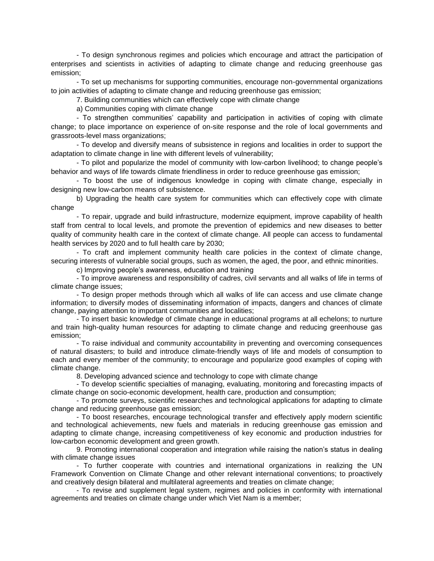- To design synchronous regimes and policies which encourage and attract the participation of enterprises and scientists in activities of adapting to climate change and reducing greenhouse gas emission;

- To set up mechanisms for supporting communities, encourage non-governmental organizations to join activities of adapting to climate change and reducing greenhouse gas emission;

7. Building communities which can effectively cope with climate change

a) Communities coping with climate change

- To strengthen communities' capability and participation in activities of coping with climate change; to place importance on experience of on-site response and the role of local governments and grassroots-level mass organizations;

- To develop and diversify means of subsistence in regions and localities in order to support the adaptation to climate change in line with different levels of vulnerability;

- To pilot and popularize the model of community with low-carbon livelihood; to change people's behavior and ways of life towards climate friendliness in order to reduce greenhouse gas emission;

- To boost the use of indigenous knowledge in coping with climate change, especially in designing new low-carbon means of subsistence.

b) Upgrading the health care system for communities which can effectively cope with climate change

- To repair, upgrade and build infrastructure, modernize equipment, improve capability of health staff from central to local levels, and promote the prevention of epidemics and new diseases to better quality of community health care in the context of climate change. All people can access to fundamental health services by 2020 and to full health care by 2030;

- To craft and implement community health care policies in the context of climate change, securing interests of vulnerable social groups, such as women, the aged, the poor, and ethnic minorities.

c) Improving people's awareness, education and training

- To improve awareness and responsibility of cadres, civil servants and all walks of life in terms of climate change issues;

- To design proper methods through which all walks of life can access and use climate change information; to diversify modes of disseminating information of impacts, dangers and chances of climate change, paying attention to important communities and localities;

- To insert basic knowledge of climate change in educational programs at all echelons; to nurture and train high-quality human resources for adapting to climate change and reducing greenhouse gas emission;

- To raise individual and community accountability in preventing and overcoming consequences of natural disasters; to build and introduce climate-friendly ways of life and models of consumption to each and every member of the community; to encourage and popularize good examples of coping with climate change.

8. Developing advanced science and technology to cope with climate change

- To develop scientific specialties of managing, evaluating, monitoring and forecasting impacts of climate change on socio-economic development, health care, production and consumption;

- To promote surveys, scientific researches and technological applications for adapting to climate change and reducing greenhouse gas emission;

- To boost researches, encourage technological transfer and effectively apply modern scientific and technological achievements, new fuels and materials in reducing greenhouse gas emission and adapting to climate change, increasing competitiveness of key economic and production industries for low-carbon economic development and green growth.

9. Promoting international cooperation and integration while raising the nation's status in dealing with climate change issues

- To further cooperate with countries and international organizations in realizing the UN Framework Convention on Climate Change and other relevant international conventions; to proactively and creatively design bilateral and multilateral agreements and treaties on climate change;

- To revise and supplement legal system, regimes and policies in conformity with international agreements and treaties on climate change under which Viet Nam is a member;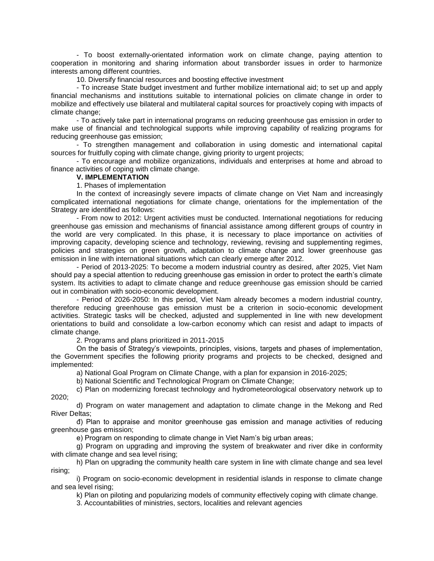- To boost externally-orientated information work on climate change, paying attention to cooperation in monitoring and sharing information about transborder issues in order to harmonize interests among different countries.

10. Diversify financial resources and boosting effective investment

- To increase State budget investment and further mobilize international aid; to set up and apply financial mechanisms and institutions suitable to international policies on climate change in order to mobilize and effectively use bilateral and multilateral capital sources for proactively coping with impacts of climate change;

- To actively take part in international programs on reducing greenhouse gas emission in order to make use of financial and technological supports while improving capability of realizing programs for reducing greenhouse gas emission;

- To strengthen management and collaboration in using domestic and international capital sources for fruitfully coping with climate change, giving priority to urgent projects;

- To encourage and mobilize organizations, individuals and enterprises at home and abroad to finance activities of coping with climate change.

# **V. IMPLEMENTATION**

1. Phases of implementation

In the context of increasingly severe impacts of climate change on Viet Nam and increasingly complicated international negotiations for climate change, orientations for the implementation of the Strategy are identified as follows:

- From now to 2012: Urgent activities must be conducted. International negotiations for reducing greenhouse gas emission and mechanisms of financial assistance among different groups of country in the world are very complicated. In this phase, it is necessary to place importance on activities of improving capacity, developing science and technology, reviewing, revising and supplementing regimes, policies and strategies on green growth, adaptation to climate change and lower greenhouse gas emission in line with international situations which can clearly emerge after 2012.

- Period of 2013-2025: To become a modern industrial country as desired, after 2025, Viet Nam should pay a special attention to reducing greenhouse gas emission in order to protect the earth's climate system. Its activities to adapt to climate change and reduce greenhouse gas emission should be carried out in combination with socio-economic development.

- Period of 2026-2050: In this period, Viet Nam already becomes a modern industrial country, therefore reducing greenhouse gas emission must be a criterion in socio-economic development activities. Strategic tasks will be checked, adjusted and supplemented in line with new development orientations to build and consolidate a low-carbon economy which can resist and adapt to impacts of climate change.

2. Programs and plans prioritized in 2011-2015

On the basis of Strategy's viewpoints, principles, visions, targets and phases of implementation, the Government specifies the following priority programs and projects to be checked, designed and implemented:

a) National Goal Program on Climate Change, with a plan for expansion in 2016-2025;

b) National Scientific and Technological Program on Climate Change;

c) Plan on modernizing forecast technology and hydrometeorological observatory network up to 2020;

d) Program on water management and adaptation to climate change in the Mekong and Red River Deltas;

đ) Plan to appraise and monitor greenhouse gas emission and manage activities of reducing greenhouse gas emission;

e) Program on responding to climate change in Viet Nam's big urban areas;

g) Program on upgrading and improving the system of breakwater and river dike in conformity with climate change and sea level rising;

h) Plan on upgrading the community health care system in line with climate change and sea level rising;

i) Program on socio-economic development in residential islands in response to climate change and sea level rising;

k) Plan on piloting and popularizing models of community effectively coping with climate change.

3. Accountabilities of ministries, sectors, localities and relevant agencies